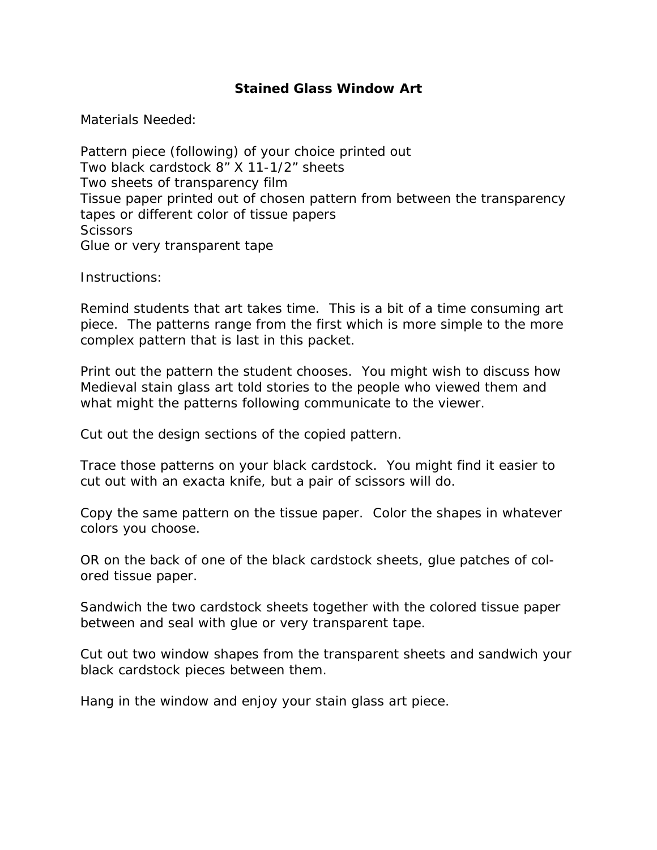## **Stained Glass Window Art**

Materials Needed:

Pattern piece (following) of your choice printed out Two black cardstock 8" X 11-1/2" sheets Two sheets of transparency film Tissue paper printed out of chosen pattern from between the transparency tapes or different color of tissue papers Scissors Glue or very transparent tape

Instructions:

Remind students that art takes time. This is a bit of a time consuming art piece. The patterns range from the first which is more simple to the more complex pattern that is last in this packet.

Print out the pattern the student chooses. You might wish to discuss how Medieval stain glass art told stories to the people who viewed them and what might the patterns following communicate to the viewer.

Cut out the design sections of the copied pattern.

Trace those patterns on your black cardstock. You might find it easier to cut out with an exacta knife, but a pair of scissors will do.

Copy the same pattern on the tissue paper. Color the shapes in whatever colors you choose.

OR on the back of one of the black cardstock sheets, glue patches of colored tissue paper.

Sandwich the two cardstock sheets together with the colored tissue paper between and seal with glue or very transparent tape.

Cut out two window shapes from the transparent sheets and sandwich your black cardstock pieces between them.

Hang in the window and enjoy your stain glass art piece.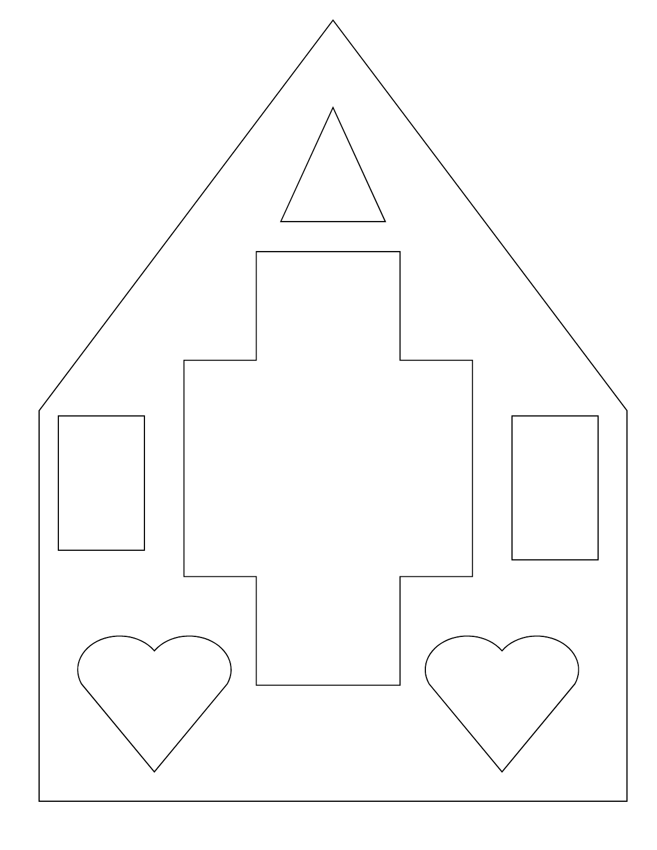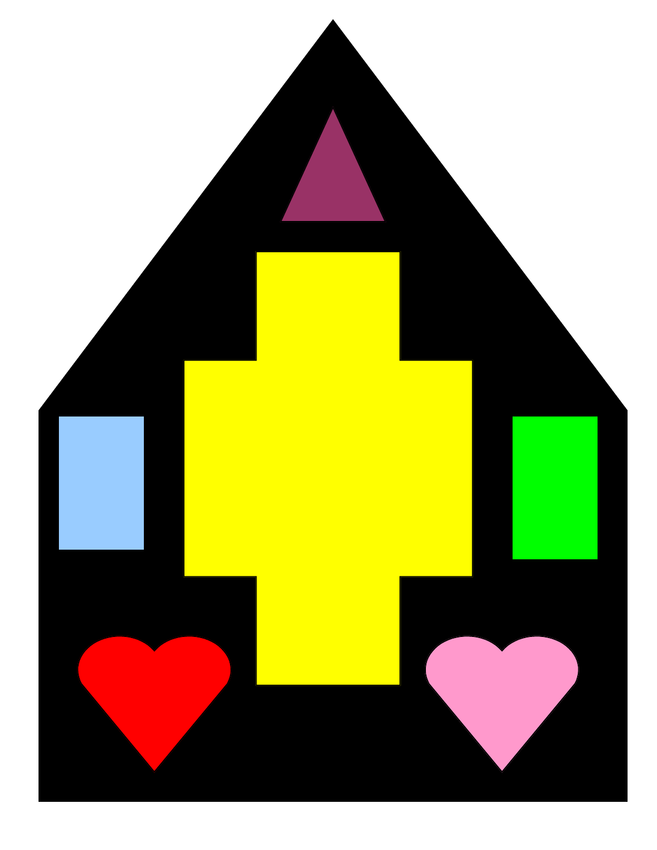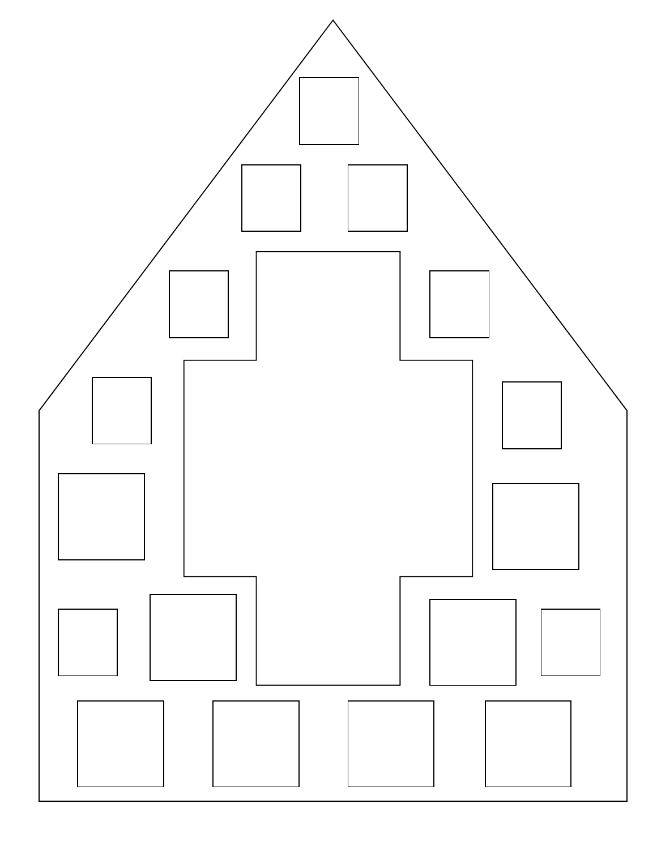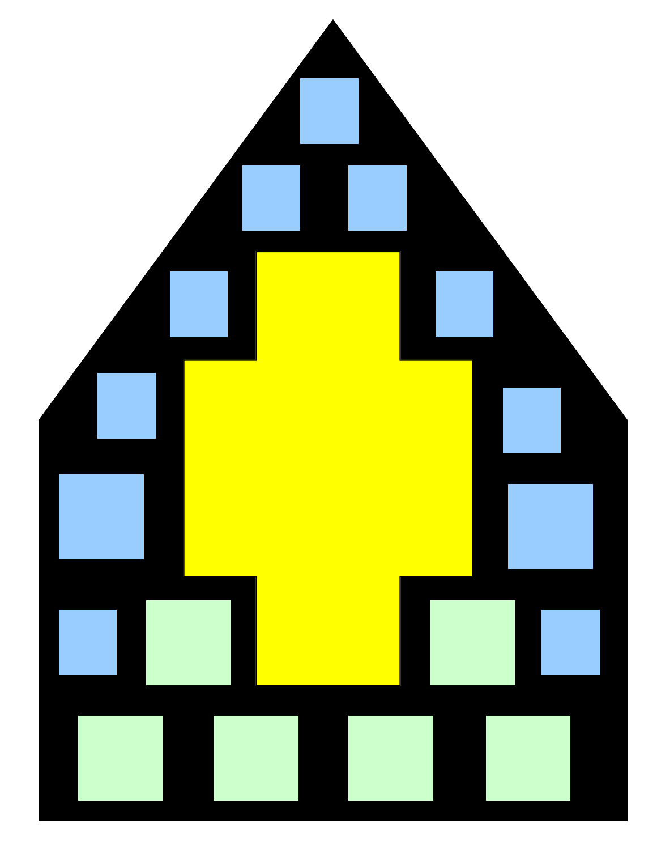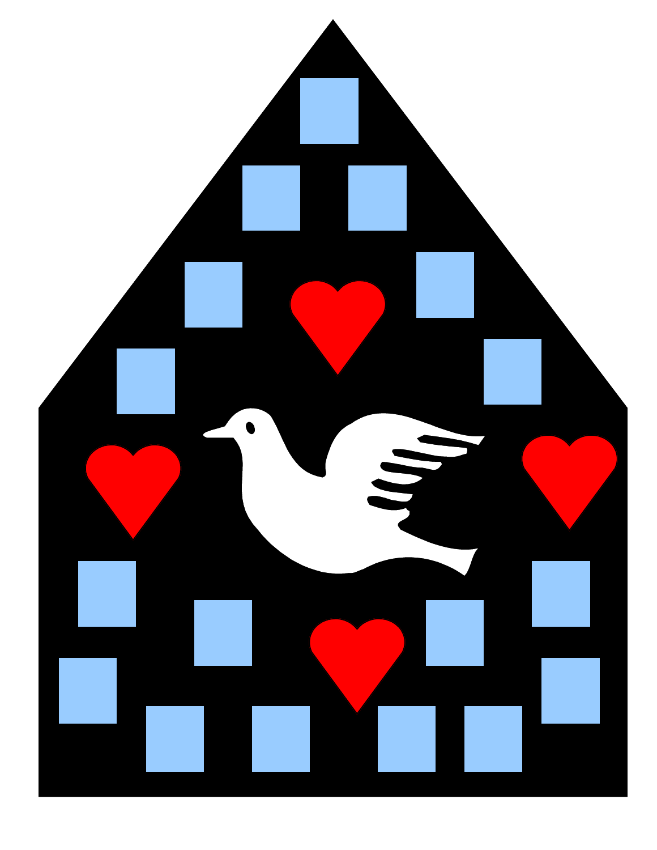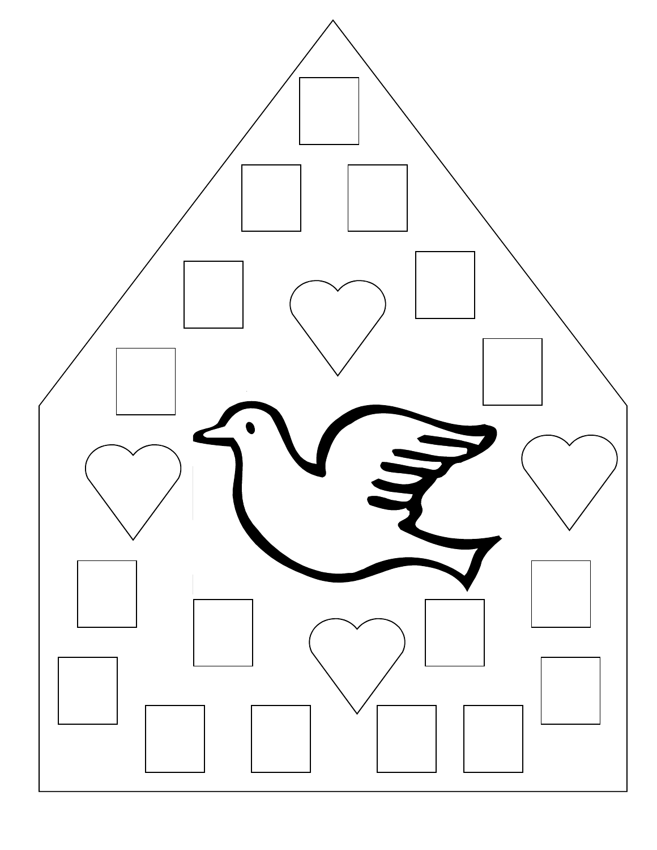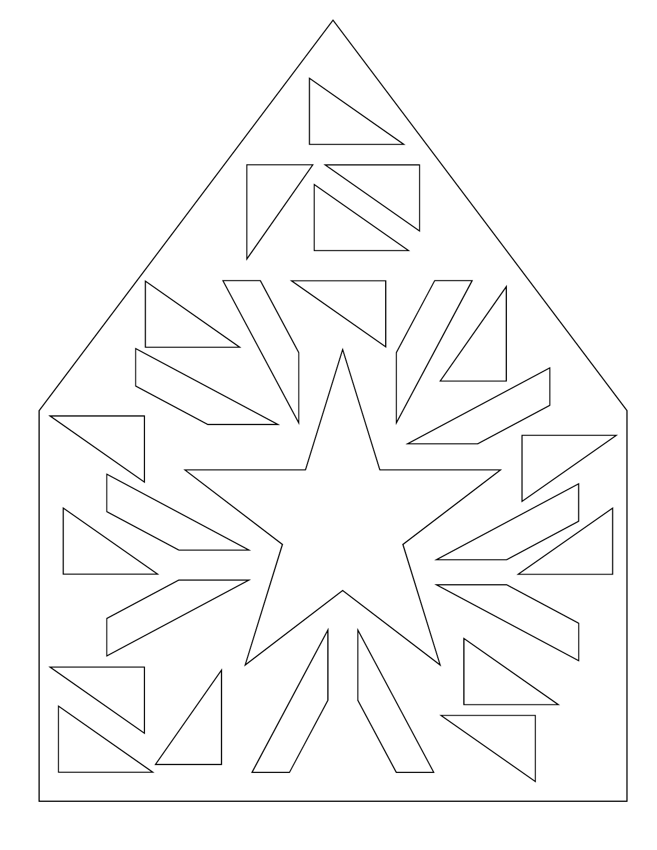